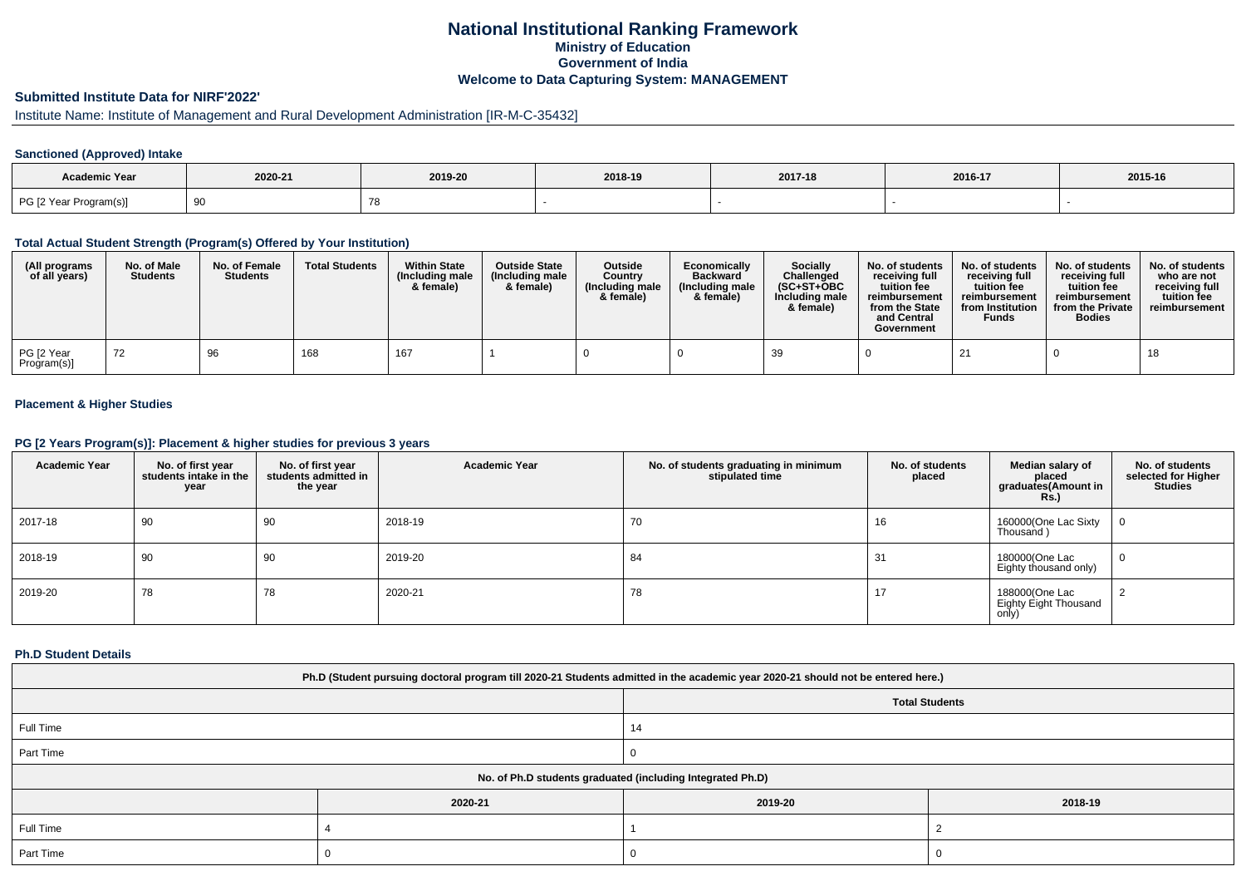# **National Institutional Ranking FrameworkMinistry of Education Government of IndiaWelcome to Data Capturing System: MANAGEMENT**

# **Submitted Institute Data for NIRF'2022'**

# Institute Name: Institute of Management and Rural Development Administration [IR-M-C-35432]

## **Sanctioned (Approved) Intake**

| Academic Year          |         |         |         |         |         |         |
|------------------------|---------|---------|---------|---------|---------|---------|
|                        | 2020-21 | 2019-20 | 2018-19 | 2017-18 | 2016-17 | 2015-16 |
| PG [2 Year Program(s)] |         |         |         |         |         |         |

#### **Total Actual Student Strength (Program(s) Offered by Your Institution)**

| (All programs<br>of all years) | No. of Male<br><b>Students</b> | No. of Female<br><b>Students</b> | <b>Total Students</b> | <b>Within State</b><br>(Including male<br>& female) | <b>Outside State</b><br>(Including male<br>& female) | Outside<br>Country<br>(Including male<br>& female) | Economically<br><b>Backward</b><br>(Including male<br>& female) | Socially<br>Challenged<br>$(SC+ST+OBC$<br>Including male<br>& female) | No. of students<br>receiving full<br>tuition fee<br>reimbursement<br>from the State<br>and Central<br>Government | No. of students<br>receiving full<br>tuition fee<br>reimbursement<br>from Institution<br><b>Funds</b> | No. of students<br>receiving full<br>tuition fee<br>reimbursement<br>from the Private<br><b>Bodies</b> | No. of students<br>who are not<br>receiving full<br>tuition fee<br>reimbursement |
|--------------------------------|--------------------------------|----------------------------------|-----------------------|-----------------------------------------------------|------------------------------------------------------|----------------------------------------------------|-----------------------------------------------------------------|-----------------------------------------------------------------------|------------------------------------------------------------------------------------------------------------------|-------------------------------------------------------------------------------------------------------|--------------------------------------------------------------------------------------------------------|----------------------------------------------------------------------------------|
| PG [2 Year<br>Program(s)]      |                                | 96                               | 168                   | 167                                                 |                                                      |                                                    |                                                                 | 39                                                                    |                                                                                                                  | 21                                                                                                    |                                                                                                        | 18                                                                               |

## **Placement & Higher Studies**

#### **PG [2 Years Program(s)]: Placement & higher studies for previous 3 years**

| <b>Academic Year</b> | No. of first year<br>students intake in the<br>year | No. of first year<br>students admitted in<br>the year | <b>Academic Year</b> | No. of students graduating in minimum<br>stipulated time | No. of students<br>placed | Median salary of<br>placed<br>graduates(Amount in<br><b>Rs.)</b> | No. of students<br>selected for Higher<br><b>Studies</b> |
|----------------------|-----------------------------------------------------|-------------------------------------------------------|----------------------|----------------------------------------------------------|---------------------------|------------------------------------------------------------------|----------------------------------------------------------|
| 2017-18              | 90                                                  | 90                                                    | 2018-19              | 70                                                       | 16                        | 160000(One Lac Sixty<br>Thousand)                                | 0                                                        |
| 2018-19              | 90                                                  | 90                                                    | 2019-20              | 84                                                       | 31                        | 180000(One Lac<br>Eighty thousand only)                          | 0                                                        |
| 2019-20              | 78                                                  | 78                                                    | 2020-21              | 78                                                       | 17                        | 188000(One Lac<br>Eighty Eight Thousand<br>only)                 |                                                          |

#### **Ph.D Student Details**

| Ph.D (Student pursuing doctoral program till 2020-21 Students admitted in the academic year 2020-21 should not be entered here.) |         |         |         |  |  |  |
|----------------------------------------------------------------------------------------------------------------------------------|---------|---------|---------|--|--|--|
| <b>Total Students</b>                                                                                                            |         |         |         |  |  |  |
| Full Time                                                                                                                        |         |         |         |  |  |  |
| Part Time                                                                                                                        |         |         |         |  |  |  |
| No. of Ph.D students graduated (including Integrated Ph.D)                                                                       |         |         |         |  |  |  |
|                                                                                                                                  | 2020-21 | 2019-20 | 2018-19 |  |  |  |
| Full Time                                                                                                                        |         |         |         |  |  |  |
| Part Time                                                                                                                        |         |         |         |  |  |  |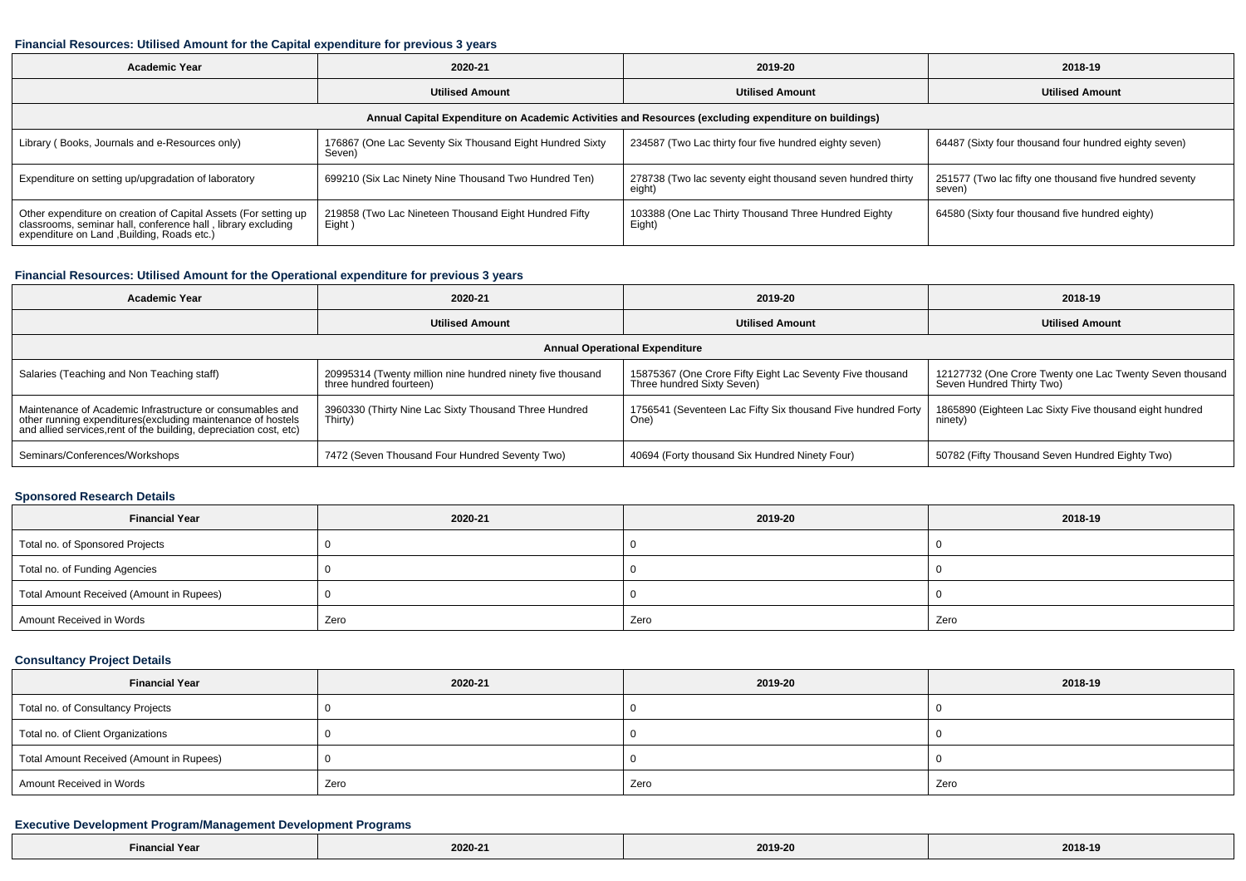#### **Financial Resources: Utilised Amount for the Capital expenditure for previous 3 years**

| <b>Academic Year</b>                                                                                                                                                           | 2020-21                                                            | 2019-20                                                               | 2018-19                                                           |  |  |  |  |  |
|--------------------------------------------------------------------------------------------------------------------------------------------------------------------------------|--------------------------------------------------------------------|-----------------------------------------------------------------------|-------------------------------------------------------------------|--|--|--|--|--|
|                                                                                                                                                                                | <b>Utilised Amount</b>                                             | <b>Utilised Amount</b>                                                | <b>Utilised Amount</b>                                            |  |  |  |  |  |
| Annual Capital Expenditure on Academic Activities and Resources (excluding expenditure on buildings)                                                                           |                                                                    |                                                                       |                                                                   |  |  |  |  |  |
| Library (Books, Journals and e-Resources only)                                                                                                                                 | 176867 (One Lac Seventy Six Thousand Eight Hundred Sixty<br>Seven) | 234587 (Two Lac thirty four five hundred eighty seven)                | 64487 (Sixty four thousand four hundred eighty seven)             |  |  |  |  |  |
| Expenditure on setting up/upgradation of laboratory                                                                                                                            | 699210 (Six Lac Ninety Nine Thousand Two Hundred Ten)              | 278738 (Two lac seventy eight thousand seven hundred thirty<br>eight) | 251577 (Two lac fifty one thousand five hundred seventy<br>seven) |  |  |  |  |  |
| Other expenditure on creation of Capital Assets (For setting up<br>classrooms, seminar hall, conference hall, library excluding<br>expenditure on Land , Building, Roads etc.) | 219858 (Two Lac Nineteen Thousand Eight Hundred Fifty<br>Eight)    | 103388 (One Lac Thirty Thousand Three Hundred Eighty<br>Eight)        | 64580 (Sixty four thousand five hundred eighty)                   |  |  |  |  |  |

#### **Financial Resources: Utilised Amount for the Operational expenditure for previous 3 years**

| <b>Academic Year</b>                                                                                                                                                                            | 2020-21                                                                               | 2019-20                                                                                 | 2018-19                                                                               |  |  |  |  |  |
|-------------------------------------------------------------------------------------------------------------------------------------------------------------------------------------------------|---------------------------------------------------------------------------------------|-----------------------------------------------------------------------------------------|---------------------------------------------------------------------------------------|--|--|--|--|--|
|                                                                                                                                                                                                 | <b>Utilised Amount</b>                                                                | <b>Utilised Amount</b>                                                                  | <b>Utilised Amount</b>                                                                |  |  |  |  |  |
| <b>Annual Operational Expenditure</b>                                                                                                                                                           |                                                                                       |                                                                                         |                                                                                       |  |  |  |  |  |
| Salaries (Teaching and Non Teaching staff)                                                                                                                                                      | 20995314 (Twenty million nine hundred ninety five thousand<br>three hundred fourteen) | 15875367 (One Crore Fifty Eight Lac Seventy Five thousand<br>Three hundred Sixty Seven) | 12127732 (One Crore Twenty one Lac Twenty Seven thousand<br>Seven Hundred Thirty Two) |  |  |  |  |  |
| Maintenance of Academic Infrastructure or consumables and<br>other running expenditures (excluding maintenance of hostels<br>and allied services, rent of the building, depreciation cost, etc) | 3960330 (Thirty Nine Lac Sixty Thousand Three Hundred<br>Thirty)                      | 1756541 (Seventeen Lac Fifty Six thousand Five hundred Forty<br>One)                    | 1865890 (Eighteen Lac Sixty Five thousand eight hundred<br>ninety)                    |  |  |  |  |  |
| Seminars/Conferences/Workshops                                                                                                                                                                  | 7472 (Seven Thousand Four Hundred Seventy Two)                                        | 40694 (Forty thousand Six Hundred Ninety Four)                                          | 50782 (Fifty Thousand Seven Hundred Eighty Two)                                       |  |  |  |  |  |

#### **Sponsored Research Details**

| <b>Financial Year</b>                    | 2020-21 | 2019-20 | 2018-19 |
|------------------------------------------|---------|---------|---------|
| Total no. of Sponsored Projects          |         |         |         |
| Total no. of Funding Agencies            |         |         |         |
| Total Amount Received (Amount in Rupees) |         |         |         |
| Amount Received in Words                 | Zero    | Zero    | Zero    |

## **Consultancy Project Details**

| <b>Financial Year</b>                    | 2020-21 | 2019-20 | 2018-19 |  |
|------------------------------------------|---------|---------|---------|--|
| Total no. of Consultancy Projects        |         |         |         |  |
| Total no. of Client Organizations        |         |         |         |  |
| Total Amount Received (Amount in Rupees) |         |         |         |  |
| Amount Received in Words                 | Zero    | Zero    | Zero    |  |

## **Executive Development Program/Management Development Programs**

| $-$<br>Yea<br>-rinanci<br>the contract of the contract of the contract of the contract of the contract of the contract of the contract of | 2020-2 <sup>.</sup> | 2019-20<br>. | 2018-19<br>---- -- |
|-------------------------------------------------------------------------------------------------------------------------------------------|---------------------|--------------|--------------------|
|-------------------------------------------------------------------------------------------------------------------------------------------|---------------------|--------------|--------------------|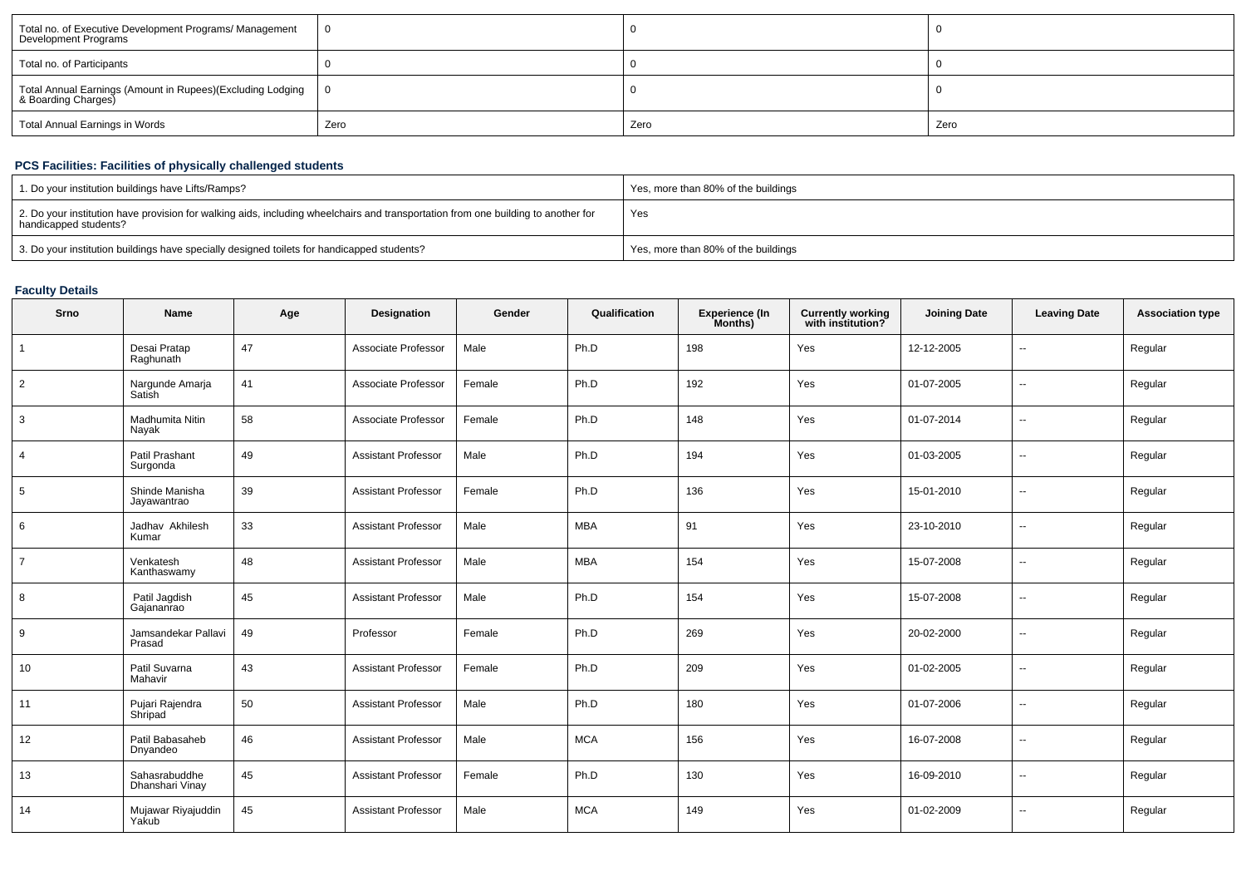| Total no. of Executive Development Programs/ Management<br>Development Programs       |      |      |      |
|---------------------------------------------------------------------------------------|------|------|------|
| Total no. of Participants                                                             |      |      |      |
| Total Annual Earnings (Amount in Rupees)(Excluding Lodging   0<br>& Boarding Charges) |      |      |      |
| Total Annual Earnings in Words                                                        | Zero | Zero | Zero |

## **PCS Facilities: Facilities of physically challenged students**

| 1. Do your institution buildings have Lifts/Ramps?                                                                                                         | Yes, more than 80% of the buildings |
|------------------------------------------------------------------------------------------------------------------------------------------------------------|-------------------------------------|
| 2. Do your institution have provision for walking aids, including wheelchairs and transportation from one building to another for<br>handicapped students? | Yes                                 |
| 3. Do your institution buildings have specially designed toilets for handicapped students?                                                                 | Yes, more than 80% of the buildings |

# **Faculty Details**

| Srno           | <b>Name</b>                      | Age | Designation                | Gender | Qualification | <b>Experience (In</b><br>Months) | <b>Currently working</b><br>with institution? | <b>Joining Date</b> | <b>Leaving Date</b>      | <b>Association type</b> |
|----------------|----------------------------------|-----|----------------------------|--------|---------------|----------------------------------|-----------------------------------------------|---------------------|--------------------------|-------------------------|
|                | Desai Pratap<br>Raghunath        | 47  | Associate Professor        | Male   | Ph.D          | 198                              | Yes                                           | 12-12-2005          | $\sim$                   | Regular                 |
| $\overline{2}$ | Nargunde Amarja<br>Satish        | 41  | Associate Professor        | Female | Ph.D          | 192                              | Yes                                           | 01-07-2005          | --                       | Regular                 |
| 3              | Madhumita Nitin<br>Nayak         | 58  | Associate Professor        | Female | Ph.D          | 148                              | Yes                                           | 01-07-2014          | --                       | Regular                 |
| $\overline{4}$ | Patil Prashant<br>Surgonda       | 49  | <b>Assistant Professor</b> | Male   | Ph.D          | 194                              | Yes                                           | 01-03-2005          | $\overline{\phantom{a}}$ | Regular                 |
| 5              | Shinde Manisha<br>Jayawantrao    | 39  | <b>Assistant Professor</b> | Female | Ph.D          | 136                              | Yes                                           | 15-01-2010          | $\overline{\phantom{a}}$ | Regular                 |
| 6              | Jadhav Akhilesh<br>Kumar         | 33  | <b>Assistant Professor</b> | Male   | <b>MBA</b>    | 91                               | Yes                                           | 23-10-2010          | $\overline{\phantom{a}}$ | Regular                 |
| $\overline{7}$ | Venkatesh<br>Kanthaswamy         | 48  | <b>Assistant Professor</b> | Male   | <b>MBA</b>    | 154                              | Yes                                           | 15-07-2008          | --                       | Regular                 |
| 8              | Patil Jagdish<br>Gajananrao      | 45  | <b>Assistant Professor</b> | Male   | Ph.D          | 154                              | Yes                                           | 15-07-2008          | $\overline{\phantom{a}}$ | Regular                 |
| 9              | Jamsandekar Pallavi<br>Prasad    | 49  | Professor                  | Female | Ph.D          | 269                              | Yes                                           | 20-02-2000          | $\overline{\phantom{a}}$ | Regular                 |
| 10             | Patil Suvarna<br>Mahavir         | 43  | <b>Assistant Professor</b> | Female | Ph.D          | 209                              | Yes                                           | 01-02-2005          | $\overline{\phantom{a}}$ | Regular                 |
| 11             | Pujari Rajendra<br>Shripad       | 50  | <b>Assistant Professor</b> | Male   | Ph.D          | 180                              | Yes                                           | 01-07-2006          | $\overline{\phantom{a}}$ | Regular                 |
| 12             | Patil Babasaheb<br>Dnyandeo      | 46  | <b>Assistant Professor</b> | Male   | <b>MCA</b>    | 156                              | Yes                                           | 16-07-2008          | $\overline{a}$           | Regular                 |
| 13             | Sahasrabuddhe<br>Dhanshari Vinay | 45  | <b>Assistant Professor</b> | Female | Ph.D          | 130                              | Yes                                           | 16-09-2010          | $\mathbf{u}$             | Regular                 |
| 14             | Mujawar Riyajuddin<br>Yakub      | 45  | <b>Assistant Professor</b> | Male   | <b>MCA</b>    | 149                              | Yes                                           | 01-02-2009          | $\mathbf{u}$             | Regular                 |